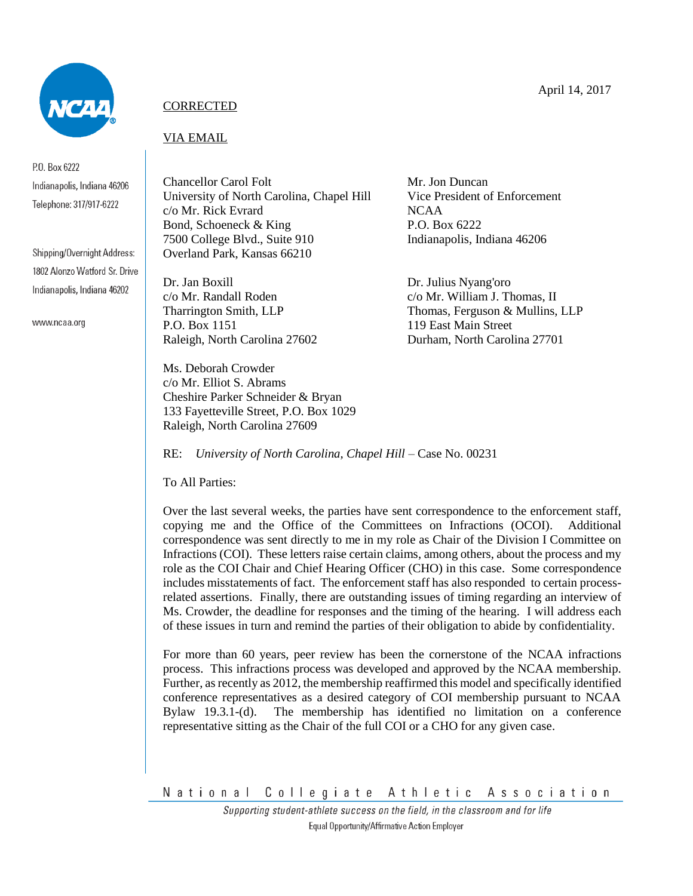

P.O. Box 6222 Indianapolis, Indiana 46206 Telephone: 317/917-6222

Shipping/Overnight Address: 1802 Alonzo Watford Sr. Drive Indianapolis, Indiana 46202

www.ncaa.org

## **CORRECTED**

## VIA EMAIL

Chancellor Carol Folt Mr. Jon Duncan University of North Carolina, Chapel Hill Vice President of Enforcement c/o Mr. Rick Evrard NCAA Bond, Schoeneck & King P.O. Box 6222 7500 College Blvd., Suite 910 Indianapolis, Indiana 46206 Overland Park, Kansas 66210

Dr. Jan Boxill Dr. Julius Nyang'oro c/o Mr. Randall Roden c/o Mr. William J. Thomas, II P.O. Box 1151 119 East Main Street Raleigh, North Carolina 27602 Durham, North Carolina 27701

Ms. Deborah Crowder c/o Mr. Elliot S. Abrams Cheshire Parker Schneider & Bryan 133 Fayetteville Street, P.O. Box 1029 Raleigh, North Carolina 27609

Tharrington Smith, LLP Thomas, Ferguson & Mullins, LLP

RE: *University of North Carolina, Chapel Hill –* Case No. 00231

To All Parties:

Over the last several weeks, the parties have sent correspondence to the enforcement staff, copying me and the Office of the Committees on Infractions (OCOI). Additional correspondence was sent directly to me in my role as Chair of the Division I Committee on Infractions (COI). These letters raise certain claims, among others, about the process and my role as the COI Chair and Chief Hearing Officer (CHO) in this case. Some correspondence includes misstatements of fact. The enforcement staff has also responded to certain processrelated assertions. Finally, there are outstanding issues of timing regarding an interview of Ms. Crowder, the deadline for responses and the timing of the hearing. I will address each of these issues in turn and remind the parties of their obligation to abide by confidentiality.

For more than 60 years, peer review has been the cornerstone of the NCAA infractions process. This infractions process was developed and approved by the NCAA membership. Further, as recently as 2012, the membership reaffirmed this model and specifically identified conference representatives as a desired category of COI membership pursuant to NCAA Bylaw 19.3.1-(d). The membership has identified no limitation on a conference representative sitting as the Chair of the full COI or a CHO for any given case.

National Collegiate Athletic Association

Supporting student-athlete success on the field, in the classroom and for life Equal Opportunity/Affirmative Action Employer